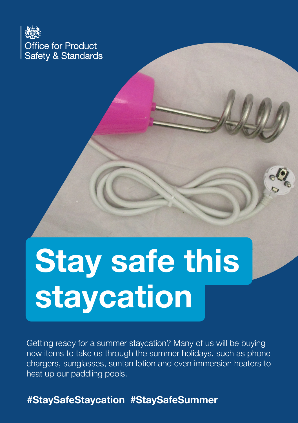

# **Stay safe this** staycation

Getting ready for a summer staycation? Many of us will be buying new items to take us through the summer holidays, such as phone chargers, sunglasses, suntan lotion and even immersion heaters to heat up our paddling pools.

### #StaySafeStaycation #StaySafeSummer